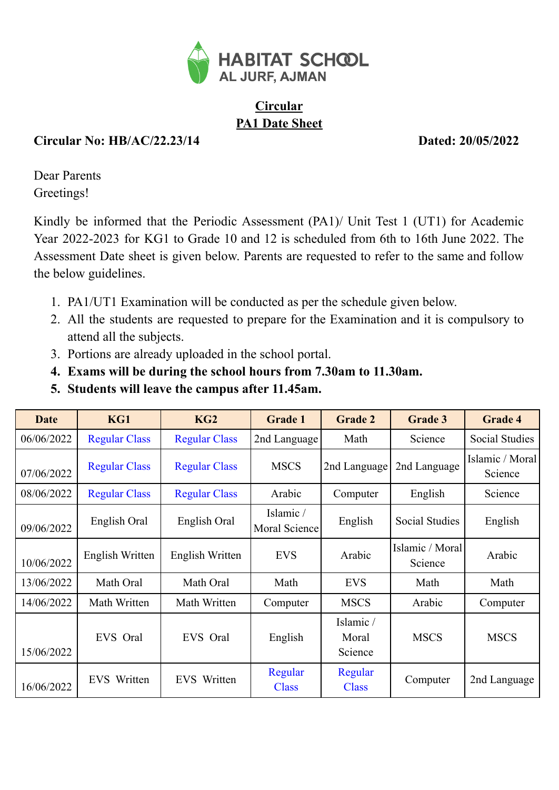

## **Circular PA1 Date Sheet**

## **Circular No: HB/AC/22.23/14 Dated: 20/05/2022**

Dear Parents Greetings!

Kindly be informed that the Periodic Assessment (PA1)/ Unit Test 1 (UT1) for Academic Year 2022-2023 for KG1 to Grade 10 and 12 is scheduled from 6th to 16th June 2022. The Assessment Date sheet is given below. Parents are requested to refer to the same and follow the below guidelines.

- 1. PA1/UT1 Examination will be conducted as per the schedule given below.
- 2. All the students are requested to prepare for the Examination and it is compulsory to attend all the subjects.
- 3. Portions are already uploaded in the school portal.
- **4. Exams will be during the school hours from 7.30am to 11.30am.**
- **5. Students will leave the campus after 11.45am.**

| <b>Date</b> | KG1                  | KG <sub>2</sub>      | <b>Grade 1</b><br><b>Grade 2</b>                               |                              | <b>Grade 3</b>             | <b>Grade 4</b>             |
|-------------|----------------------|----------------------|----------------------------------------------------------------|------------------------------|----------------------------|----------------------------|
| 06/06/2022  | <b>Regular Class</b> | <b>Regular Class</b> | 2nd Language                                                   | Math                         | Science                    | <b>Social Studies</b>      |
| 07/06/2022  | <b>Regular Class</b> | <b>Regular Class</b> | <b>MSCS</b>                                                    | 2nd Language                 | 2nd Language               | Islamic / Moral<br>Science |
| 08/06/2022  | <b>Regular Class</b> | <b>Regular Class</b> | Arabic<br>Computer                                             |                              | English                    | Science                    |
| 09/06/2022  | English Oral         | English Oral         | Islamic /<br>English<br><b>Social Studies</b><br>Moral Science |                              | English                    |                            |
| 10/06/2022  | English Written      | English Written      | <b>EVS</b>                                                     | Arabic                       | Islamic / Moral<br>Science | Arabic                     |
| 13/06/2022  | Math Oral            | Math Oral            | Math<br><b>EVS</b>                                             |                              | Math                       | Math                       |
| 14/06/2022  | Math Written         | Math Written         | Computer                                                       | <b>MSCS</b>                  | Arabic                     | Computer                   |
| 15/06/2022  | EVS Oral             | EVS Oral             | English                                                        | Islamic/<br>Moral<br>Science | <b>MSCS</b>                | <b>MSCS</b>                |
| 16/06/2022  | <b>EVS</b> Written   | <b>EVS</b> Written   | Regular<br><b>Class</b>                                        | Regular<br><b>Class</b>      | Computer                   | 2nd Language               |